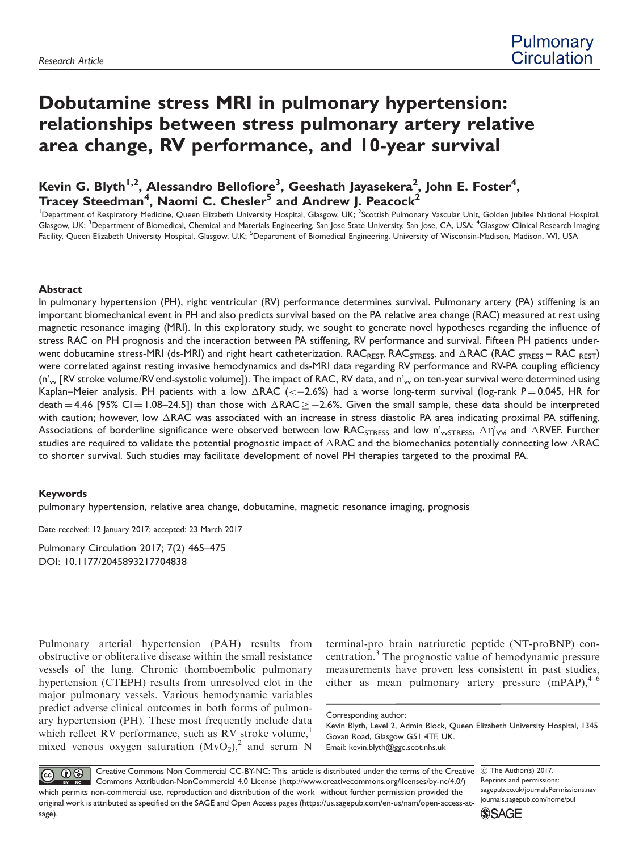# Dobutamine stress MRI in pulmonary hypertension: relationships between stress pulmonary artery relative area change, RV performance, and 10-year survival

Kevin G. Blyth<sup>1,2</sup>, Alessandro Bellofiore<sup>3</sup>, Geeshath Jayasekera<sup>2</sup>, John E. Foster<sup>4</sup>, Tracey Steedman<sup>4</sup>, Naomi C. Chesler<sup>5</sup> and Andrew J. Peacock<sup>2</sup>

<sup>1</sup>Department of Respiratory Medicine, Queen Elizabeth University Hospital, Glasgow, UK; <sup>2</sup>Scottish Pulmonary Vascular Unit, Golden Jubilee National Hospital, Glasgow, UK; <sup>3</sup>Department of Biomedical, Chemical and Materials Engineering, San Jose State University, San Jose, CA, USA; <sup>4</sup>Glasgow Clinical Research Imaging Facility, Queen Elizabeth University Hospital, Glasgow, U.K; <sup>5</sup>Department of Biomedical Engineering, University of Wisconsin-Madison, Madison, WI, USA

### Abstract

In pulmonary hypertension (PH), right ventricular (RV) performance determines survival. Pulmonary artery (PA) stiffening is an important biomechanical event in PH and also predicts survival based on the PA relative area change (RAC) measured at rest using magnetic resonance imaging (MRI). In this exploratory study, we sought to generate novel hypotheses regarding the influence of stress RAC on PH prognosis and the interaction between PA stiffening, RV performance and survival. Fifteen PH patients underwent dobutamine stress-MRI (ds-MRI) and right heart catheterization.  $\mathsf{RAC}_{\mathsf{REST}}$ ,  $\mathsf{RAC}_{\mathsf{STRES}}$ , and  $\Delta\mathsf{RAC}$  ( $\mathsf{RAC}_{\mathsf{STRES}}$   $\mathsf{RAC}_{\mathsf{REST}}$ ) were correlated against resting invasive hemodynamics and ds-MRI data regarding RV performance and RV-PA coupling efficiency  $(n'_v, \text{[RV stroke volume/RV end-system}]$ . The impact of RAC, RV data, and  $n'_v$  on ten-year survival were determined using Kaplan–Meier analysis. PH patients with a low  $\Delta {\sf RAC}$  (<–2.6%) had a worse long-term survival (log-rank P=0.045, HR for death = 4.46 [95% CI = 1.08–24.5]) than those with  $\Delta$ RAC  $\geq$  -2.6%. Given the small sample, these data should be interpreted with caution; however, low  $\Delta$ RAC was associated with an increase in stress diastolic PA area indicating proximal PA stiffening. Associations of borderline significance were observed between low RAC<sub>STRESS</sub> and low n'<sub>vvSTRESS</sub>,  $\Delta\eta'_{\sf VV}$ , and  $\Delta$ RVEF. Further studies are required to validate the potential prognostic impact of  $\Delta$ RAC and the biomechanics potentially connecting low  $\Delta$ RAC to shorter survival. Such studies may facilitate development of novel PH therapies targeted to the proximal PA.

### Keywords

pulmonary hypertension, relative area change, dobutamine, magnetic resonance imaging, prognosis

Date received: 12 January 2017; accepted: 23 March 2017

Pulmonary Circulation 2017; 7(2) 465–475 DOI: [10.1177/2045893217704838](https://doi.org/10.1177/2045893217704838)

Pulmonary arterial hypertension (PAH) results from obstructive or obliterative disease within the small resistance vessels of the lung. Chronic thomboembolic pulmonary hypertension (CTEPH) results from unresolved clot in the major pulmonary vessels. Various hemodynamic variables predict adverse clinical outcomes in both forms of pulmonary hypertension (PH). These most frequently include data which reflect RV performance, such as RV stroke volume, $<sup>1</sup>$ </sup> mixed venous oxygen saturation  $(MvO<sub>2</sub>)<sub>1</sub><sup>2</sup>$  and serum N

terminal-pro brain natriuretic peptide (NT-proBNP) concentration.3 The prognostic value of hemodynamic pressure measurements have proven less consistent in past studies, either as mean pulmonary artery pressure  $(mPAP)$ ,<sup>4–6</sup>

Corresponding author: Kevin Blyth, Level 2, Admin Block, Queen Elizabeth University Hospital, 1345 Govan Road, Glasgow G51 4TF, UK. Email: kevin.blyth@ggc.scot.nhs.uk

Creative Commons Non Commercial CC-BY-NC: This article is distributed under the terms of the Creative  $\odot$  $|cc|$ Commons Attribution-NonCommercial 4.0 License (http://www.creativecommons.org/licenses/by-nc/4.0/) which permits non-commercial use, reproduction and distribution of the work without further permission provided the original work is attributed as specified on the SAGE and Open Access pages (https://us.sagepub.com/en-us/nam/open-access-atsage).

 $\overline{\odot}$  The Author(s) 2017. Reprints and permissions: [sagepub.co.uk/journalsPermissions.nav](https://uk.sagepub.com/en-gb/journals-permissions) <journals.sagepub.com/home/pul>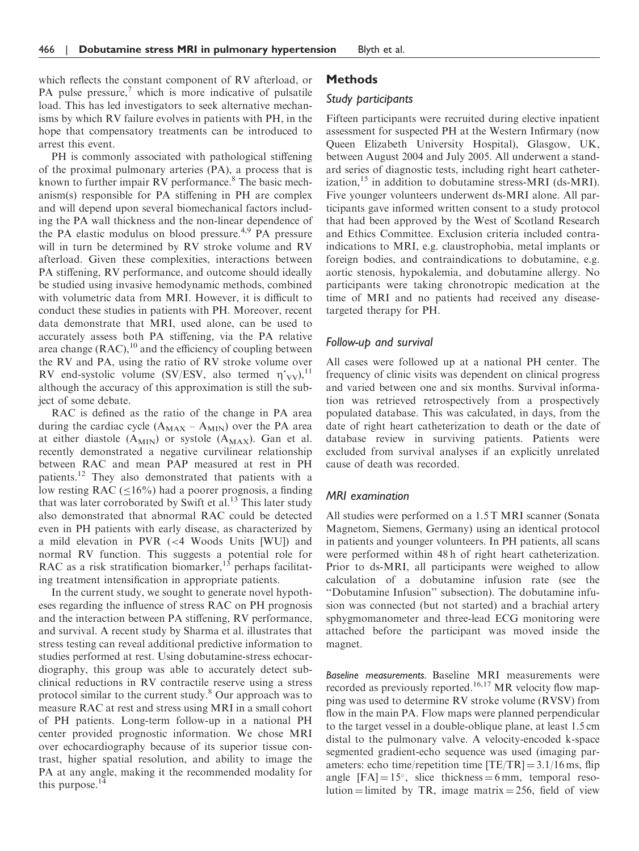which reflects the constant component of RV afterload, or PA pulse pressure, $\frac{7}{1}$  which is more indicative of pulsatile load. This has led investigators to seek alternative mechanisms by which RV failure evolves in patients with PH, in the hope that compensatory treatments can be introduced to arrest this event.

PH is commonly associated with pathological stiffening of the proximal pulmonary arteries (PA), a process that is known to further impair RV performance.<sup>8</sup> The basic mechanism(s) responsible for PA stiffening in PH are complex and will depend upon several biomechanical factors including the PA wall thickness and the non-linear dependence of the PA elastic modulus on blood pressure.<sup>4,9</sup> PA pressure will in turn be determined by RV stroke volume and RV afterload. Given these complexities, interactions between PA stiffening, RV performance, and outcome should ideally be studied using invasive hemodynamic methods, combined with volumetric data from MRI. However, it is difficult to conduct these studies in patients with PH. Moreover, recent data demonstrate that MRI, used alone, can be used to accurately assess both PA stiffening, via the PA relative area change  $(RAC)$ ,<sup>10</sup> and the efficiency of coupling between the RV and PA, using the ratio of RV stroke volume over RV end-systolic volume (SV/ESV, also termed  $\eta'_{VV}$ ),<sup>11</sup> although the accuracy of this approximation is still the subject of some debate.

RAC is defined as the ratio of the change in PA area during the cardiac cycle  $(A_{MAX} - A_{MIN})$  over the PA area at either diastole  $(A_{MIN})$  or systole  $(A_{MAX})$ . Gan et al. recently demonstrated a negative curvilinear relationship between RAC and mean PAP measured at rest in PH patients.<sup>12</sup> They also demonstrated that patients with a low resting RAC  $(<16\%)$  had a poorer prognosis, a finding that was later corroborated by Swift et al. $^{13}$  This later study also demonstrated that abnormal RAC could be detected even in PH patients with early disease, as characterized by a mild elevation in PVR (<4 Woods Units [WU]) and normal RV function. This suggests a potential role for RAC as a risk stratification biomarker, $13$  perhaps facilitating treatment intensification in appropriate patients.

In the current study, we sought to generate novel hypotheses regarding the influence of stress RAC on PH prognosis and the interaction between PA stiffening, RV performance, and survival. A recent study by Sharma et al. illustrates that stress testing can reveal additional predictive information to studies performed at rest. Using dobutamine-stress echocardiography, this group was able to accurately detect subclinical reductions in RV contractile reserve using a stress protocol similar to the current study.<sup>8</sup> Our approach was to measure RAC at rest and stress using MRI in a small cohort of PH patients. Long-term follow-up in a national PH center provided prognostic information. We chose MRI over echocardiography because of its superior tissue contrast, higher spatial resolution, and ability to image the PA at any angle, making it the recommended modality for this purpose. $14$ 

### Methods

### Study participants

Fifteen participants were recruited during elective inpatient assessment for suspected PH at the Western Infirmary (now Queen Elizabeth University Hospital), Glasgow, UK, between August 2004 and July 2005. All underwent a standard series of diagnostic tests, including right heart catheterization, $^{15}$  in addition to dobutamine stress-MRI (ds-MRI). Five younger volunteers underwent ds-MRI alone. All participants gave informed written consent to a study protocol that had been approved by the West of Scotland Research and Ethics Committee. Exclusion criteria included contraindications to MRI, e.g. claustrophobia, metal implants or foreign bodies, and contraindications to dobutamine, e.g. aortic stenosis, hypokalemia, and dobutamine allergy. No participants were taking chronotropic medication at the time of MRI and no patients had received any diseasetargeted therapy for PH.

### Follow-up and survival

All cases were followed up at a national PH center. The frequency of clinic visits was dependent on clinical progress and varied between one and six months. Survival information was retrieved retrospectively from a prospectively populated database. This was calculated, in days, from the date of right heart catheterization to death or the date of database review in surviving patients. Patients were excluded from survival analyses if an explicitly unrelated cause of death was recorded.

### MRI examination

All studies were performed on a 1.5 T MRI scanner (Sonata Magnetom, Siemens, Germany) using an identical protocol in patients and younger volunteers. In PH patients, all scans were performed within 48 h of right heart catheterization. Prior to ds-MRI, all participants were weighed to allow calculation of a dobutamine infusion rate (see the ''Dobutamine Infusion'' subsection). The dobutamine infusion was connected (but not started) and a brachial artery sphygmomanometer and three-lead ECG monitoring were attached before the participant was moved inside the magnet.

Baseline measurements. Baseline MRI measurements were recorded as previously reported.<sup>16,17</sup> MR velocity flow mapping was used to determine RV stroke volume (RVSV) from flow in the main PA. Flow maps were planned perpendicular to the target vessel in a double-oblique plane, at least 1.5 cm distal to the pulmonary valve. A velocity-encoded k-space segmented gradient-echo sequence was used (imaging parameters: echo time/repetition time  $[TE/TR] = 3.1/16$  ms, flip angle  $[FA] = 15^\circ$ , slice thickness = 6 mm, temporal resolution = limited by TR, image matrix = 256, field of view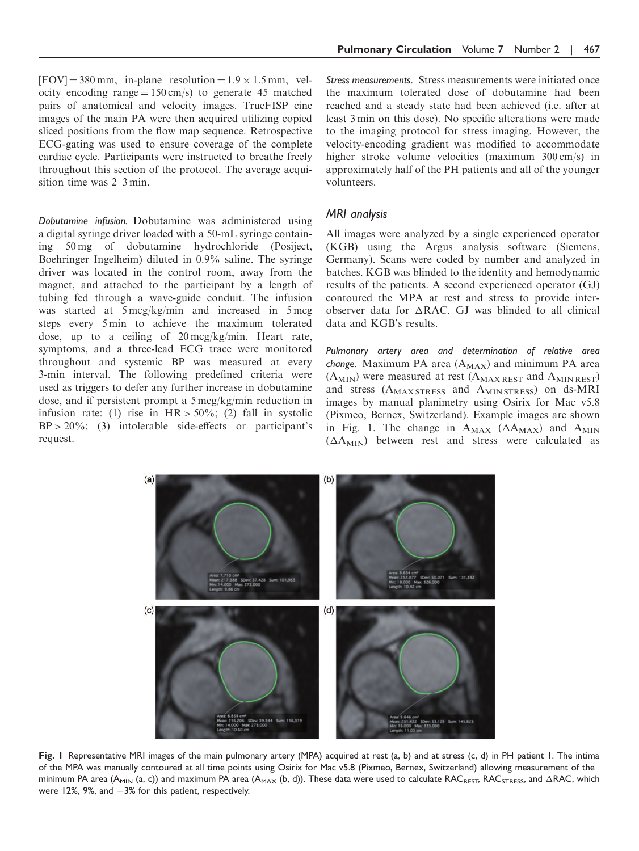$[FOV] = 380$  mm, in-plane resolution =  $1.9 \times 1.5$  mm, velocity encoding range =  $150 \text{ cm/s}$  to generate 45 matched pairs of anatomical and velocity images. TrueFISP cine images of the main PA were then acquired utilizing copied sliced positions from the flow map sequence. Retrospective ECG-gating was used to ensure coverage of the complete cardiac cycle. Participants were instructed to breathe freely throughout this section of the protocol. The average acquisition time was 2–3 min.

Dobutamine infusion. Dobutamine was administered using a digital syringe driver loaded with a 50-mL syringe containing 50 mg of dobutamine hydrochloride (Posiject, Boehringer Ingelheim) diluted in 0.9% saline. The syringe driver was located in the control room, away from the magnet, and attached to the participant by a length of tubing fed through a wave-guide conduit. The infusion was started at  $5 \text{~mcg/kg/min}$  and increased in  $5 \text{~mcg}$ steps every 5 min to achieve the maximum tolerated dose, up to a ceiling of 20 mcg/kg/min. Heart rate, symptoms, and a three-lead ECG trace were monitored throughout and systemic BP was measured at every 3-min interval. The following predefined criteria were used as triggers to defer any further increase in dobutamine dose, and if persistent prompt a 5 mcg/kg/min reduction in infusion rate: (1) rise in  $HR > 50\%$ ; (2) fall in systolic  $BP > 20\%$ ; (3) intolerable side-effects or participant's request.

Stress measurements. Stress measurements were initiated once the maximum tolerated dose of dobutamine had been reached and a steady state had been achieved (i.e. after at least 3 min on this dose). No specific alterations were made to the imaging protocol for stress imaging. However, the velocity-encoding gradient was modified to accommodate higher stroke volume velocities (maximum 300 cm/s) in approximately half of the PH patients and all of the younger volunteers.

### MRI analysis

All images were analyzed by a single experienced operator (KGB) using the Argus analysis software (Siemens, Germany). Scans were coded by number and analyzed in batches. KGB was blinded to the identity and hemodynamic results of the patients. A second experienced operator (GJ) contoured the MPA at rest and stress to provide interobserver data for  $\triangle RAC$ . GJ was blinded to all clinical data and KGB's results.

Pulmonary artery area and determination of relative area change. Maximum PA area  $(A_{MAX})$  and minimum PA area  $(A_{MIN})$  were measured at rest  $(A_{MAX \text{ REST}})$  and  $A_{MIN \text{ REST}}$ ) and stress  $(A_{MAX STRESS}$  and  $A_{MINSTRESS}$ ) on ds-MRI images by manual planimetry using Osirix for Mac v5.8 (Pixmeo, Bernex, Switzerland). Example images are shown in Fig. 1. The change in  $A_{MAX}$  ( $\Delta A_{MAX}$ ) and  $A_{MIN}$  $(∆A<sub>MIN</sub>)$  between rest and stress were calculated as



Fig. 1 Representative MRI images of the main pulmonary artery (MPA) acquired at rest (a, b) and at stress (c, d) in PH patient 1. The intima of the MPA was manually contoured at all time points using Osirix for Mac v5.8 (Pixmeo, Bernex, Switzerland) allowing measurement of the minimum PA area (A<sub>MIN</sub> (a, c)) and maximum PA area (A<sub>MAX</sub> (b, d)). These data were used to calculate RAC<sub>REST</sub>, RAC<sub>STRESS</sub>, and ARAC, which were  $12\%$ ,  $9\%$ , and  $-3\%$  for this patient, respectively.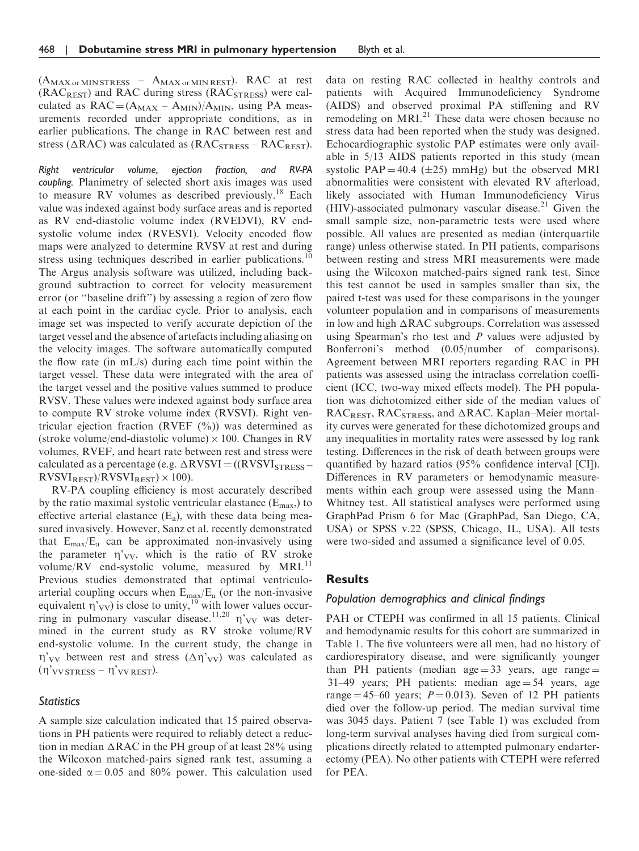$(A_{MAX or MINSTRESS} - A_{MAX or MIN REST})$ . RAC at rest  $(RAC_{REST})$  and RAC during stress  $(RAC_{STRESS})$  were calculated as  $RAC = (A_{MAX} - A_{MIN})/A_{MIN}$ , using PA measurements recorded under appropriate conditions, as in earlier publications. The change in RAC between rest and stress ( $\triangle RAC$ ) was calculated as ( $RAC<sub>STRESS</sub> - RAC<sub>REST</sub>$ ).

Right ventricular volume, ejection fraction, and RV-PA coupling. Planimetry of selected short axis images was used to measure RV volumes as described previously.<sup>18</sup> Each value was indexed against body surface areas and is reported as RV end-diastolic volume index (RVEDVI), RV endsystolic volume index (RVESVI). Velocity encoded flow maps were analyzed to determine RVSV at rest and during stress using techniques described in earlier publications.<sup>10</sup> The Argus analysis software was utilized, including background subtraction to correct for velocity measurement error (or ''baseline drift'') by assessing a region of zero flow at each point in the cardiac cycle. Prior to analysis, each image set was inspected to verify accurate depiction of the target vessel and the absence of artefacts including aliasing on the velocity images. The software automatically computed the flow rate (in  $mL/s$ ) during each time point within the target vessel. These data were integrated with the area of the target vessel and the positive values summed to produce RVSV. These values were indexed against body surface area to compute RV stroke volume index (RVSVI). Right ventricular ejection fraction (RVEF  $(\%)$ ) was determined as (stroke volume/end-diastolic volume)  $\times$  100. Changes in RV volumes, RVEF, and heart rate between rest and stress were calculated as a percentage (e.g.  $\Delta \text{RVSVI}$  = (( $\text{RVSVI}_{\text{STRESS}}$  –  $RVSVI_{REST}$ / $RVSVI_{REST}$ )  $\times$  100).

RV-PA coupling efficiency is most accurately described by the ratio maximal systolic ventricular elastance  $(E_{\text{max}})$  to effective arterial elastance  $(E_a)$ , with these data being measured invasively. However, Sanz et al. recently demonstrated that  $E_{\text{max}}/E_a$  can be approximated non-invasively using the parameter  $\eta'_{VV}$ , which is the ratio of RV stroke volume/ $RV$  end-systolic volume, measured by  $MRI$ .<sup>11</sup> Previous studies demonstrated that optimal ventriculoarterial coupling occurs when  $E_{\text{max}}/E_a$  (or the non-invasive equivalent  $\eta'_{VV}$ ) is close to unity,<sup>19</sup> with lower values occurring in pulmonary vascular disease.<sup>11,20</sup>  $\eta$ '<sub>VV</sub> was determined in the current study as RV stroke volume/RV end-systolic volume. In the current study, the change in  $\eta'_{VV}$  between rest and stress  $(\Delta \eta'_{VV})$  was calculated as  $(\eta'_{VV}$  STRESS –  $\eta'_{VV}$  REST).

### **Statistics**

A sample size calculation indicated that 15 paired observations in PH patients were required to reliably detect a reduction in median  $\triangle RAC$  in the PH group of at least 28% using the Wilcoxon matched-pairs signed rank test, assuming a one-sided  $\alpha = 0.05$  and 80% power. This calculation used data on resting RAC collected in healthy controls and patients with Acquired Immunodeficiency Syndrome (AIDS) and observed proximal PA stiffening and RV remodeling on MRI.<sup>21</sup> These data were chosen because no stress data had been reported when the study was designed. Echocardiographic systolic PAP estimates were only available in 5/13 AIDS patients reported in this study (mean systolic PAP = 40.4 ( $\pm$ 25) mmHg) but the observed MRI abnormalities were consistent with elevated RV afterload, likely associated with Human Immunodeficiency Virus (HIV)-associated pulmonary vascular disease.<sup>21</sup> Given the small sample size, non-parametric tests were used where possible. All values are presented as median (interquartile range) unless otherwise stated. In PH patients, comparisons between resting and stress MRI measurements were made using the Wilcoxon matched-pairs signed rank test. Since this test cannot be used in samples smaller than six, the paired t-test was used for these comparisons in the younger volunteer population and in comparisons of measurements in low and high  $\triangle RAC$  subgroups. Correlation was assessed using Spearman's rho test and  $P$  values were adjusted by Bonferroni's method (0.05/number of comparisons). Agreement between MRI reporters regarding RAC in PH patients was assessed using the intraclass correlation coefficient (ICC, two-way mixed effects model). The PH population was dichotomized either side of the median values of  $RAC_{REST}$ ,  $RAC_{STRESS}$ , and  $\Delta RAC$ . Kaplan–Meier mortality curves were generated for these dichotomized groups and any inequalities in mortality rates were assessed by log rank testing. Differences in the risk of death between groups were quantified by hazard ratios (95% confidence interval [CI]). Differences in RV parameters or hemodynamic measurements within each group were assessed using the Mann– Whitney test. All statistical analyses were performed using GraphPad Prism 6 for Mac (GraphPad, San Diego, CA, USA) or SPSS v.22 (SPSS, Chicago, IL, USA). All tests were two-sided and assumed a significance level of 0.05.

### **Results**

### Population demographics and clinical findings

PAH or CTEPH was confirmed in all 15 patients. Clinical and hemodynamic results for this cohort are summarized in Table 1. The five volunteers were all men, had no history of cardiorespiratory disease, and were significantly younger than PH patients (median age  $= 33$  years, age range  $=$ 31–49 years; PH patients: median  $age = 54$  years, age range  $= 45-60$  years;  $P = 0.013$ ). Seven of 12 PH patients died over the follow-up period. The median survival time was 3045 days. Patient 7 (see Table 1) was excluded from long-term survival analyses having died from surgical complications directly related to attempted pulmonary endarterectomy (PEA). No other patients with CTEPH were referred for PEA.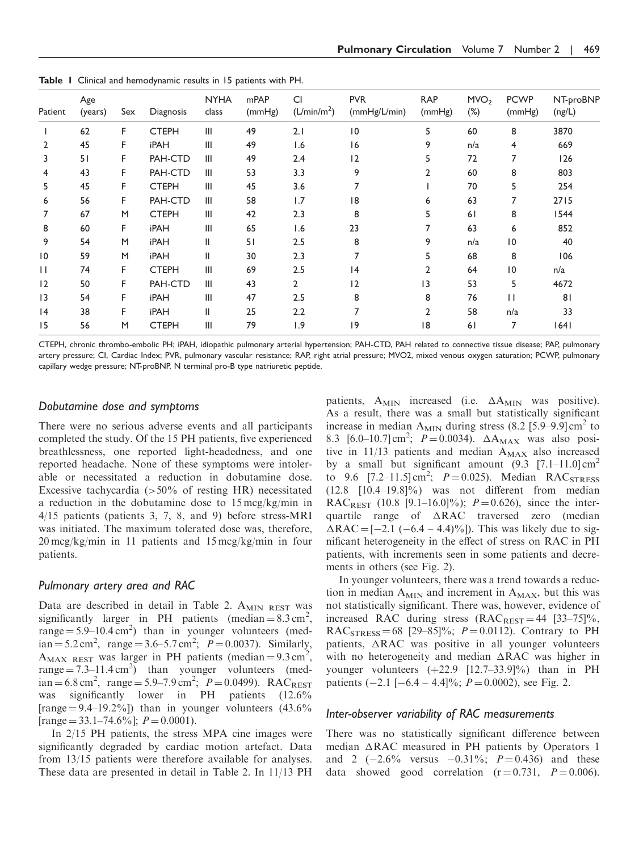| Patient         | Age<br>(years) | Sex | Diagnosis    | <b>NYHA</b><br>class | mPAP<br>(mmHg) | CI<br>(L/min/m <sup>2</sup> ) | <b>PVR</b><br>(mmHg/L/min) | <b>RAP</b><br>(mmHg) | MVO <sub>2</sub><br>$(\%)$ | <b>PCWP</b><br>(mmHg) | NT-proBNP<br>(ng/L) |
|-----------------|----------------|-----|--------------|----------------------|----------------|-------------------------------|----------------------------|----------------------|----------------------------|-----------------------|---------------------|
|                 | 62             | F   | <b>CTEPH</b> | III                  | 49             | 2.1                           | $\overline{0}$             | 5                    | 60                         | 8                     | 3870                |
| $\overline{2}$  | 45             | F   | <b>iPAH</b>  | III                  | 49             | 1.6                           | 16                         | 9                    | n/a                        | 4                     | 669                 |
| 3               | 51             | F   | PAH-CTD      | $\mathbf{III}$       | 49             | 2.4                           | 2                          | 5                    | 72                         | 7                     | 126                 |
| 4               | 43             | F   | PAH-CTD      | $\mathbf{III}$       | 53             | 3.3                           | 9                          | $\overline{2}$       | 60                         | 8                     | 803                 |
| 5               | 45             | F   | <b>CTEPH</b> | III                  | 45             | 3.6                           | 7                          |                      | 70                         | 5                     | 254                 |
| 6               | 56             | F   | PAH-CTD      | Ш                    | 58             | 1.7                           | 18                         | 6                    | 63                         | 7                     | 2715                |
| 7               | 67             | M   | <b>CTEPH</b> | $\mathbf{III}$       | 42             | 2.3                           | 8                          | 5                    | 61                         | 8                     | 1544                |
| 8               | 60             | F   | <b>iPAH</b>  | $\mathbf{III}$       | 65             | 1.6                           | 23                         | 7                    | 63                         | 6                     | 852                 |
| 9               | 54             | M   | <b>iPAH</b>  | $\mathsf{I}$         | 51             | 2.5                           | 8                          | 9                    | n/a                        | $\overline{0}$        | 40                  |
| $\overline{10}$ | 59             | M   | <b>iPAH</b>  | $\mathbf{I}$         | 30             | 2.3                           | 7                          | 5                    | 68                         | 8                     | 106                 |
| $\mathbf{H}$    | 74             | F   | <b>CTEPH</b> | III                  | 69             | 2.5                           | 4                          | $\mathbf{2}$         | 64                         | $\overline{0}$        | n/a                 |
| 12              | 50             | F   | PAH-CTD      | $\mathbf{III}$       | 43             | $\overline{2}$                | 12                         | 3                    | 53                         | 5                     | 4672                |
| 13              | 54             | F   | <b>iPAH</b>  | $\mathbf{III}$       | 47             | 2.5                           | 8                          | 8                    | 76                         | $\mathsf{H}$          | 81                  |
| 4               | 38             | F   | <b>iPAH</b>  | $\mathbf{I}$         | 25             | 2.2                           | 7                          | $\overline{2}$       | 58                         | n/a                   | 33                  |
| 15              | 56             | M   | <b>CTEPH</b> | III                  | 79             | 1.9                           | 9                          | 18                   | 61                         | 7                     | 64                  |

Table 1 Clinical and hemodynamic results in 15 patients with PH.

CTEPH, chronic thrombo-embolic PH; iPAH, idiopathic pulmonary arterial hypertension; PAH-CTD, PAH related to connective tissue disease; PAP, pulmonary artery pressure; CI, Cardiac Index; PVR, pulmonary vascular resistance; RAP, right atrial pressure; MVO2, mixed venous oxygen saturation; PCWP, pulmonary capillary wedge pressure; NT-proBNP, N terminal pro-B type natriuretic peptide.

### Dobutamine dose and symptoms

There were no serious adverse events and all participants completed the study. Of the 15 PH patients, five experienced breathlessness, one reported light-headedness, and one reported headache. None of these symptoms were intolerable or necessitated a reduction in dobutamine dose. Excessive tachycardia  $(>50\%$  of resting HR) necessitated a reduction in the dobutamine dose to 15 mcg/kg/min in 4/15 patients (patients 3, 7, 8, and 9) before stress-MRI was initiated. The maximum tolerated dose was, therefore, 20 mcg/kg/min in 11 patients and 15 mcg/kg/min in four patients.

### Pulmonary artery area and RAC

Data are described in detail in Table 2.  $A_{MIN}$  REST was significantly larger in PH patients (median =  $8.3 \text{ cm}^2$ , range  $= 5.9 - 10.4 \text{ cm}^2$ ) than in younger volunteers (med- $\text{tan} = 5.2 \text{ cm}^2$ ,  $\text{range} = 3.6 - 5.7 \text{ cm}^2$ ;  $P = 0.0037$ ). Similarly,  $A_{MAX \text{ REST}}$  was larger in PH patients (median = 9.3 cm<sup>2</sup>, range  $= 7.3 - 11.4 \text{ cm}^2$  than younger volunteers (med $an = 6.8 \text{ cm}^2$ ,  $range = 5.9 - 7.9 \text{ cm}^2$ ;  $P = 0.0499$ ). RAC<sub>REST</sub> was significantly lower in PH patients  $(12.6\%$  $[\text{range} = 9.4 - 19.2\%]$  than in younger volunteers  $(43.6\%$ [range = 33.1–74.6%];  $P = 0.0001$ ).

In 2/15 PH patients, the stress MPA cine images were significantly degraded by cardiac motion artefact. Data from 13/15 patients were therefore available for analyses. These data are presented in detail in Table 2. In 11/13 PH

patients,  $A_{MIN}$  increased (i.e.  $\Delta A_{MIN}$  was positive). As a result, there was a small but statistically significant increase in median  $A_{MIN}$  during stress (8.2 [5.9–9.9] cm<sup>2</sup> to 8.3 [6.0–10.7] cm<sup>2</sup>;  $P = 0.0034$ ).  $\Delta A_{MAX}$  was also positive in  $11/13$  patients and median  $A_{MAX}$  also increased by a small but significant amount  $(9.3 \quad [7.1-11.0] \text{ cm}^2)$ to 9.6  $[7.2-11.5] \text{ cm}^2$ ;  $P = 0.025$ ). Median RAC<sub>STRESS</sub>  $(12.8 \quad [10.4–19.8]\%)$  was not different from median RAC<sub>REST</sub> (10.8 [9.1–16.0]%);  $P = 0.626$ , since the interquartile range of  $\triangle RAC$  traversed zero (median  $\Delta RAC = [-2.1 \ (-6.4 - 4.4)\%])$ . This was likely due to significant heterogeneity in the effect of stress on RAC in PH patients, with increments seen in some patients and decrements in others (see Fig. 2).

In younger volunteers, there was a trend towards a reduction in median  $A_{MIN}$  and increment in  $A_{MAX}$ , but this was not statistically significant. There was, however, evidence of increased RAC during stress  $(RAC_{REST} = 44 \t{33-75}\%$ ,  $RAC<sub>STRESS</sub> = 68 [29–85]\%; P = 0.0112$ . Contrary to PH patients,  $\triangle RAC$  was positive in all younger volunteers with no heterogeneity and median  $\triangle RAC$  was higher in younger volunteers  $(+22.9 \t[12.7-33.9]\%)$  than in PH patients  $(-2.1 [-6.4 - 4.4]\%; P = 0.0002)$ , see Fig. 2.

### Inter-observer variability of RAC measurements

There was no statistically significant difference between median  $\triangle RAC$  measured in PH patients by Operators 1 and 2  $(-2.6\% \text{ versus } -0.31\%; P=0.436)$  and these data showed good correlation  $(r=0.731, P=0.006)$ .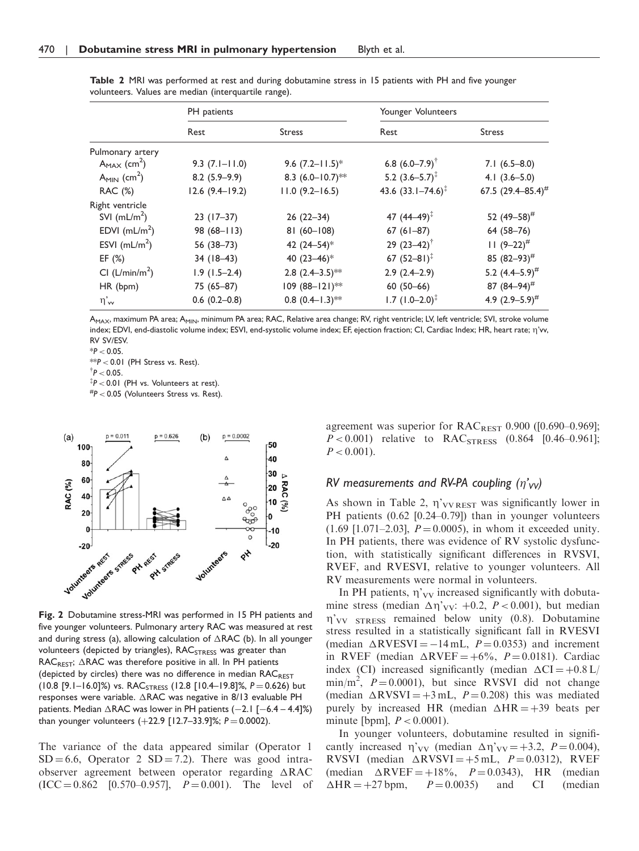|                              | PH patients         |                       | Younger Volunteers              |                          |  |
|------------------------------|---------------------|-----------------------|---------------------------------|--------------------------|--|
|                              | Rest                | <b>Stress</b>         | Rest                            | <b>Stress</b>            |  |
| Pulmonary artery             |                     |                       |                                 |                          |  |
| $A_{MAX}$ (cm <sup>2</sup> ) | $9.3$ (7.1-11.0)    | 9.6 $(7.2 - 11.5)^*$  | 6.8 $(6.0 - 7.9)^{\dagger}$     | $7.1(6.5-8.0)$           |  |
| $A_{MIN}$ (cm <sup>2</sup> ) | $8.2(5.9-9.9)$      | 8.3 $(6.0 - 10.7)$ ** | 5.2 $(3.6-5.7)^{\ddagger}$      | 4.1 $(3.6 - 5.0)$        |  |
| <b>RAC (%)</b>               | $12.6(9.4-19.2)$    | $11.0(9.2 - 16.5)$    | 43.6 $(33.1 - 74.6)^{\ddagger}$ | 67.5 $(29.4 - 85.4)^{#}$ |  |
| Right ventricle              |                     |                       |                                 |                          |  |
| SVI $(mL/m2)$                | $23(17-37)$         | $26(22-34)$           | 47 $(44-49)^{\ddagger}$         | 52 $(49-58)^{\#}$        |  |
| EDVI $(mL/m2)$               | $98(68-113)$        | $81(60-108)$          | $67(61-87)$                     | 64 (58-76)               |  |
| ESVI $(mL/m2)$               | $56(38-73)$         | 42 $(24-54)*$         | 29 $(23-42)^{\dagger}$          | $11 (9 - 22)^{\#}$       |  |
| EF $(\%)$                    | $34(18-43)$         | 40 $(23-46)*$         | 67 $(52-81)^{\ddagger}$         | 85 $(82-93)^{\#}$        |  |
| CI $(L/min/m2)$              | $1.9(1.5-2.4)$      | 2.8 $(2.4-3.5)$ **    | $2.9(2.4-2.9)$                  | 5.2 $(4.4-5.9)^{#}$      |  |
| HR (bpm)                     | 75 (65-87)          | 109 (88-121)**        | $60(50-66)$                     | 87 $(84 - 94)^{\#}$      |  |
| $\eta_{\text{vv}}'$          | $0.6$ $(0.2 - 0.8)$ | $0.8$ $(0.4-1.3)$ **  | $1.7$ (1.0–2.0) <sup>‡</sup>    | 4.9 $(2.9-5.9)^{#}$      |  |

Table 2 MRI was performed at rest and during dobutamine stress in 15 patients with PH and five younger volunteers. Values are median (interquartile range).

A<sub>MAX</sub>, maximum PA area; A<sub>MIN</sub>, minimum PA area; RAC, Relative area change; RV, right ventricle; LV, left ventricle; SVI, stroke volume index; EDVI, end-diastolic volume index; ESVI, end-systolic volume index; EF, ejection fraction; CI, Cardiac Index; HR, heart rate; n'vv, RV SV/ESV.

 $*P < 0.05$ .

 $*p < 0.01$  (PH Stress vs. Rest).

 ${}^{1}_{7}P$  < 0.01 (PH vs. Volunteers at rest).<br> ${}^{#}P$  < 0.05 (Volunteers Stress vs. Rest)

 $^{#}P$  < 0.05 (Volunteers Stress vs. Rest).



Fig. 2 Dobutamine stress-MRI was performed in 15 PH patients and five younger volunteers. Pulmonary artery RAC was measured at rest and during stress (a), allowing calculation of  $\Delta \textsf{RAC}$  (b). In all younger volunteers (depicted by triangles), RAC<sub>STRESS</sub> was greater than  $RAC_{REST}$ ;  $\triangle RAC$  was therefore positive in all. In PH patients (depicted by circles) there was no difference in median  $RAC_{REST}$ (10.8 [9.1–16.0]%) vs. RAC<sub>STRESS</sub> (12.8 [10.4–19.8]%,  $P = 0.626$ ) but responses were variable.  $\triangle$ RAC was negative in 8/13 evaluable PH patients. Median  $\triangle$ RAC was lower in PH patients ( $-2.1$  [ $-6.4 - 4.4$ ]%) than younger volunteers  $(+22.9$  [12.7–33.9]%; P = 0.0002).

The variance of the data appeared similar (Operator 1  $SD = 6.6$ , Operator 2  $SD = 7.2$ ). There was good intraobserver agreement between operator regarding  $\triangle RAC$  $(ICC = 0.862 \t [0.570-0.957], P = 0.001)$ . The level of agreement was superior for  $RAC_{REST}$  0.900 ([0.690–0.969];  $P < 0.001$ ) relative to RAC<sub>STRESS</sub>  $(0.864 \, [0.46 - 0.961];$  $P < 0.001$ ).

# RV measurements and RV-PA coupling  $(\eta^{\prime}{}_{\mathsf{VV}})$

As shown in Table 2,  $\eta'_{VV}$  REST was significantly lower in PH patients (0.62 [0.24–0.79]) than in younger volunteers  $(1.69 \,[1.071-2.03], P = 0.0005)$ , in whom it exceeded unity. In PH patients, there was evidence of RV systolic dysfunction, with statistically significant differences in RVSVI, RVEF, and RVESVI, relative to younger volunteers. All RV measurements were normal in volunteers.

In PH patients,  $\eta'_{VV}$  increased significantly with dobutamine stress (median  $\Delta \eta'_{\text{VV}}$ : +0.2, P < 0.001), but median  $\eta'_{VV}$  stress remained below unity (0.8). Dobutamine stress resulted in a statistically significant fall in RVESVI (median  $\triangle$ RVESVI = -14 mL,  $P = 0.0353$ ) and increment in RVEF (median  $\triangle$ RVEF = +6%, P = 0.0181). Cardiac index (CI) increased significantly (median  $\Delta \text{CI} = +0.8 \text{ L}$  $\min/m^2$ ,  $P = 0.0001$ ), but since RVSVI did not change (median  $\Delta$ RVSVI = +3 mL,  $P = 0.208$ ) this was mediated purely by increased HR (median  $\Delta HR = +39$  beats per minute [bpm],  $P < 0.0001$ ).

In younger volunteers, dobutamine resulted in significantly increased  $\eta'_{VV}$  (median  $\Delta \eta'_{VV} = +3.2$ ,  $P = 0.004$ ), RVSVI (median  $\Delta$ RVSVI = +5 mL,  $P = 0.0312$ ), RVEF (median  $\triangle$ RVEF = +18%,  $P = 0.0343$ ), HR (median  $\triangle$ HR = +27 bpm,  $P = 0.0035$  and CI (median

 $^{\dagger}P < 0.05$ .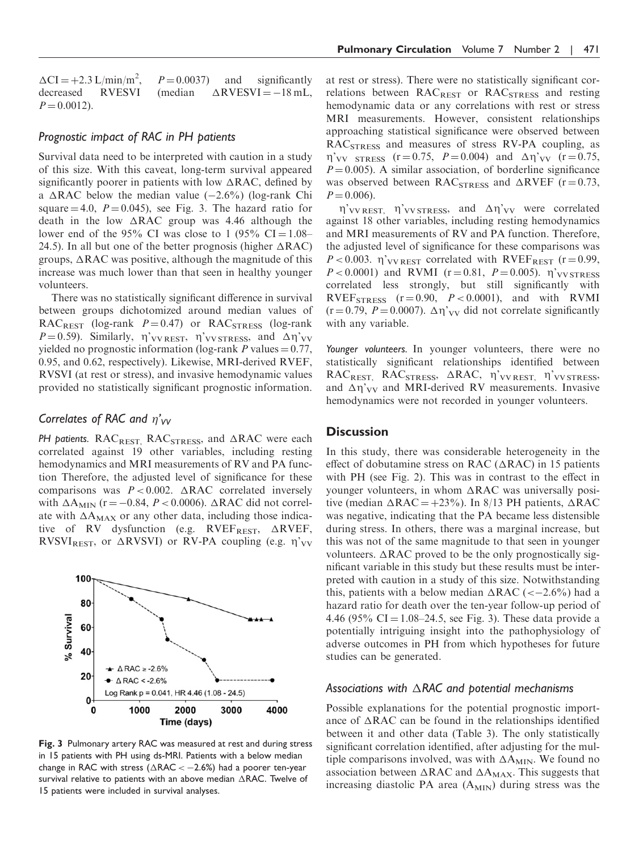$\Delta$ CI = +2.3 L/min/m<sup>2</sup>  $P = 0.0037$  and significantly decreased RVESVI (median  $RVESVI = -18$  mL,  $P = 0.0012$ .

### Prognostic impact of RAC in PH patients

Survival data need to be interpreted with caution in a study of this size. With this caveat, long-term survival appeared significantly poorer in patients with low  $\Delta RAC$ , defined by a  $\triangle$ RAC below the median value (-2.6%) (log-rank Chi square  $= 4.0$ ,  $P = 0.045$ , see Fig. 3. The hazard ratio for death in the low  $\triangle$ RAC group was 4.46 although the lower end of the 95% CI was close to 1 (95% CI = 1.08– 24.5). In all but one of the better prognosis (higher  $\triangle RAC$ ) groups,  $\triangle RAC$  was positive, although the magnitude of this increase was much lower than that seen in healthy younger volunteers.

There was no statistically significant difference in survival between groups dichotomized around median values of  $RAC_{REST}$  (log-rank  $P = 0.47$ ) or  $RAC_{STRESS}$  (log-rank  $P = 0.59$ . Similarly,  $\eta'_{VV}$  REST,  $\eta'_{VV}$  STRESS, and  $\Delta \eta'_{VV}$ yielded no prognostic information (log-rank  $P$  values  $= 0.77$ , 0.95, and 0.62, respectively). Likewise, MRI-derived RVEF, RVSVI (at rest or stress), and invasive hemodynamic values provided no statistically significant prognostic information.

# Correlates of RAC and  $\eta'_{VV}$

100

80

60

40

 $20<sub>2</sub>$ 

 $\mathbf{0}$  $\mathbf 0$ 

% Survival

PH patients.  $RAC_{REST}$ ,  $RAC_{STRESS}$ , and  $\triangle RAC$  were each correlated against 19 other variables, including resting hemodynamics and MRI measurements of RV and PA function Therefore, the adjusted level of significance for these comparisons was  $P < 0.002$ .  $\triangle RAC$  correlated inversely with  $\Delta A_{\text{MIN}}$  (r = -0.84, *P* < 0.0006).  $\Delta RAC$  did not correlate with  $\Delta A_{MAX}$  or any other data, including those indicative of RV dysfunction (e.g.  $RVEF_{REST}$ ,  $\triangle RVEF$ , RVSVI<sub>REST</sub>, or  $\Delta$ RVSVI) or RV-PA coupling (e.g.  $\eta'_{VV}$ 



Log Rank p = 0.041, HR 4.46 (1.08 - 24.5)

2000

3000

4000

 $\triangle$  RAC  $\ge$  -2.6%

 $\triangle$  RAC < -2.6%

1000

at rest or stress). There were no statistically significant correlations between  $RAC_{REST}$  or  $RAC_{STRESS}$  and resting hemodynamic data or any correlations with rest or stress MRI measurements. However, consistent relationships approaching statistical significance were observed between  $RAC<sub>STRESS</sub>$  and measures of stress RV-PA coupling, as  $\eta'_{VV}$  stress (r=0.75, P=0.004) and  $\Delta \eta'_{VV}$  (r=0.75,  $P = 0.005$ ). A similar association, of borderline significance was observed between  $RAC<sub>STRESS</sub>$  and  $\triangle RVEF$  (r = 0.73,  $P = 0.006$ .

 $\eta'$ vv REST,  $\eta'$ vv STRESS, and  $\Delta \eta'$ vv were correlated against 18 other variables, including resting hemodynamics and MRI measurements of RV and PA function. Therefore, the adjusted level of significance for these comparisons was  $P < 0.003$ .  $\eta'_{VV REST}$  correlated with RVEF<sub>REST</sub> (r = 0.99,  $P < 0.0001$ ) and RVMI (r = 0.81,  $P = 0.005$ ).  $\eta'_{VV}$  STRESS correlated less strongly, but still significantly with RVEF<sub>STRESS</sub>  $(r=0.90, P<0.0001)$ , and with RVMI  $(r=0.79, P=0.0007)$ .  $\Delta \eta'_{VV}$  did not correlate significantly with any variable.

Younger volunteers. In younger volunteers, there were no statistically significant relationships identified between  $RAC_{REST}$ ,  $RAC_{STRESS}$ ,  $\Delta RAC$ ,  $\eta$ <sup>'</sup>vv rest,  $\eta$ <sup>'</sup>vv stress, and  $\Delta \eta'_{VV}$  and MRI-derived RV measurements. Invasive hemodynamics were not recorded in younger volunteers.

### **Discussion**

In this study, there was considerable heterogeneity in the effect of dobutamine stress on RAC  $(\Delta RAC)$  in 15 patients with PH (see Fig. 2). This was in contrast to the effect in younger volunteers, in whom  $\triangle RAC$  was universally positive (median  $\triangle RAC = +23\%$ ). In 8/13 PH patients,  $\triangle RAC$ was negative, indicating that the PA became less distensible during stress. In others, there was a marginal increase, but this was not of the same magnitude to that seen in younger volunteers.  $\triangle RAC$  proved to be the only prognostically significant variable in this study but these results must be interpreted with caution in a study of this size. Notwithstanding this, patients with a below median  $\triangle RAC$  (<-2.6%) had a hazard ratio for death over the ten-year follow-up period of 4.46 (95% CI = 1.08–24.5, see Fig. 3). These data provide a potentially intriguing insight into the pathophysiology of adverse outcomes in PH from which hypotheses for future studies can be generated.

# Associations with  $\Delta$ RAC and potential mechanisms

Possible explanations for the potential prognostic importance of  $\triangle RAC$  can be found in the relationships identified between it and other data (Table 3). The only statistically significant correlation identified, after adjusting for the multiple comparisons involved, was with  $\Delta A_{MIN}$ . We found no association between  $\Delta \text{RAC}$  and  $\Delta A_{\text{MAX}}$ . This suggests that increasing diastolic PA area  $(A<sub>MIN</sub>)$  during stress was the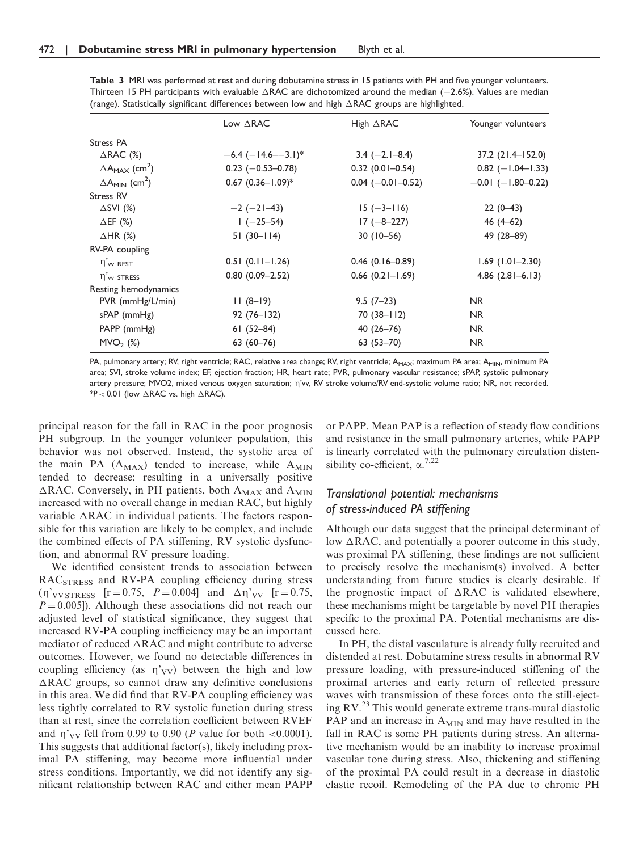|                                     | Low $\triangle$ RAC                    | High $\triangle$ RAC   | Younger volunteers     |
|-------------------------------------|----------------------------------------|------------------------|------------------------|
| Stress PA                           |                                        |                        |                        |
| $\triangle$ RAC (%)                 | $-6.4$ ( $-14.6$ - $-3.1$ <sup>*</sup> | $3.4 (-2.1 - 8.4)$     | 37.2 (21.4–152.0)      |
| $\Delta A_{MAX}$ (cm <sup>2</sup> ) | $0.23$ (-0.53-0.78)                    | $0.32$ (0.01-0.54)     | $0.82$ (-1.04-1.33)    |
| $\Delta A_{MIN}$ (cm <sup>2</sup> ) | $0.67$ $(0.36 - 1.09)^*$               | $0.04 (-0.01 - 0.52)$  | $-0.01$ (-1.80-0.22)   |
| <b>Stress RV</b>                    |                                        |                        |                        |
| $\triangle$ SVI (%)                 | $-2$ (-21-43)                          | $15 (-3-116)$          | $22(0-43)$             |
| $\Delta$ EF (%)                     | $1(-25-54)$                            | $17 (-8 - 227)$        | $46(4-62)$             |
| $\triangle$ HR (%)                  | $51(30-114)$                           | $30(10-56)$            | 49 (28-89)             |
| RV-PA coupling                      |                                        |                        |                        |
| $\eta'_{\text{vv}}$ REST            | $0.51(0.11 - 1.26)$                    | $0.46$ (0.16-0.89)     | $1.69$ (1.01-2.30)     |
| $\eta'_{\text{vv}}$ STRESS          | $0.80(0.09 - 2.52)$                    | $0.66$ $(0.21 - 1.69)$ | $4.86$ $(2.81 - 6.13)$ |
| Resting hemodynamics                |                                        |                        |                        |
| PVR (mmHg/L/min)                    | $11(8-19)$                             | $9.5(7-23)$            | <b>NR</b>              |
| sPAP (mmHg)                         | $92(76 - 132)$                         | $70(38 - 112)$         | <b>NR</b>              |
| PAPP (mmHg)                         | $61(52-84)$                            | $40(26 - 76)$          | <b>NR</b>              |
| $MVO2$ (%)                          | $63(60 - 76)$                          | $63(53 - 70)$          | <b>NR</b>              |

Table 3 MRI was performed at rest and during dobutamine stress in 15 patients with PH and five younger volunteers. Thirteen 15 PH participants with evaluable  $\Delta {\sf RAC}$  are dichotomized around the median (–2.6%). Values are median (range). Statistically significant differences between low and high  $\Delta \textsf{RAC}$  groups are highlighted.

PA, pulmonary artery; RV, right ventricle; RAC, relative area change; RV, right ventricle; A<sub>MAX</sub>; maximum PA area; A<sub>MIN</sub>, minimum PA area; SVI, stroke volume index; EF, ejection fraction; HR, heart rate; PVR, pulmonary vascular resistance; sPAP, systolic pulmonary artery pressure; MVO2, mixed venous oxygen saturation; n'vv, RV stroke volume/RV end-systolic volume ratio; NR, not recorded.  $*P < 0.01$  (low  $\triangle$ RAC vs. high  $\triangle$ RAC).

principal reason for the fall in RAC in the poor prognosis PH subgroup. In the younger volunteer population, this behavior was not observed. Instead, the systolic area of the main PA  $(A_{MAX})$  tended to increase, while  $A_{MIN}$ tended to decrease; resulting in a universally positive  $\triangle$ RAC. Conversely, in PH patients, both  $A_{MAX}$  and  $A_{MIN}$ increased with no overall change in median RAC, but highly variable  $\triangle RAC$  in individual patients. The factors responsible for this variation are likely to be complex, and include the combined effects of PA stiffening, RV systolic dysfunction, and abnormal RV pressure loading.

We identified consistent trends to association between RAC<sub>STRESS</sub> and RV-PA coupling efficiency during stress  $(\eta_{\text{VV} \text{STRES}}$  [r = 0.75, P = 0.004] and  $\Delta \eta_{\text{VV}}$  [r = 0.75,  $P = 0.005$ ]). Although these associations did not reach our adjusted level of statistical significance, they suggest that increased RV-PA coupling inefficiency may be an important mediator of reduced  $\triangle RAC$  and might contribute to adverse outcomes. However, we found no detectable differences in coupling efficiency (as  $\eta'_{VV}$ ) between the high and low  $\triangle RAC$  groups, so cannot draw any definitive conclusions in this area. We did find that RV-PA coupling efficiency was less tightly correlated to RV systolic function during stress than at rest, since the correlation coefficient between RVEF and  $\eta'_{VV}$  fell from 0.99 to 0.90 (P value for both <0.0001). This suggests that additional factor(s), likely including proximal PA stiffening, may become more influential under stress conditions. Importantly, we did not identify any significant relationship between RAC and either mean PAPP or PAPP. Mean PAP is a reflection of steady flow conditions and resistance in the small pulmonary arteries, while PAPP is linearly correlated with the pulmonary circulation distensibility co-efficient,  $\alpha$ <sup>7,22</sup>

# Translational potential: mechanisms of stress-induced PA stiffening

Although our data suggest that the principal determinant of low  $\triangle RAC$ , and potentially a poorer outcome in this study, was proximal PA stiffening, these findings are not sufficient to precisely resolve the mechanism(s) involved. A better understanding from future studies is clearly desirable. If the prognostic impact of  $\triangle RAC$  is validated elsewhere, these mechanisms might be targetable by novel PH therapies specific to the proximal PA. Potential mechanisms are discussed here.

In PH, the distal vasculature is already fully recruited and distended at rest. Dobutamine stress results in abnormal RV pressure loading, with pressure-induced stiffening of the proximal arteries and early return of reflected pressure waves with transmission of these forces onto the still-ejecting  $RV<sup>23</sup>$  This would generate extreme trans-mural diastolic PAP and an increase in  $A_{MIN}$  and may have resulted in the fall in RAC is some PH patients during stress. An alternative mechanism would be an inability to increase proximal vascular tone during stress. Also, thickening and stiffening of the proximal PA could result in a decrease in diastolic elastic recoil. Remodeling of the PA due to chronic PH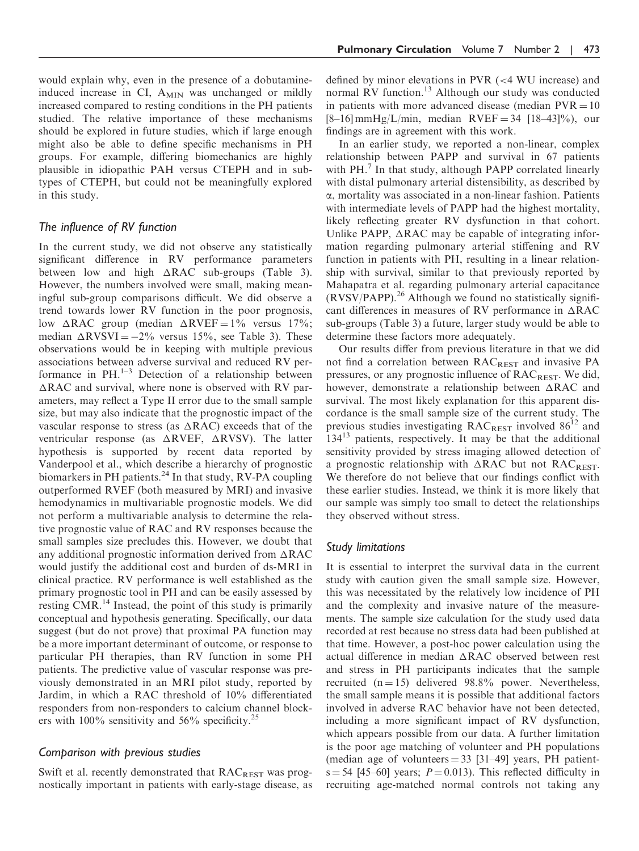would explain why, even in the presence of a dobutamineinduced increase in CI, A<sub>MIN</sub> was unchanged or mildly increased compared to resting conditions in the PH patients studied. The relative importance of these mechanisms should be explored in future studies, which if large enough might also be able to define specific mechanisms in PH groups. For example, differing biomechanics are highly plausible in idiopathic PAH versus CTEPH and in subtypes of CTEPH, but could not be meaningfully explored in this study.

### The influence of RV function

In the current study, we did not observe any statistically significant difference in RV performance parameters between low and high  $\triangle RAC$  sub-groups (Table 3). However, the numbers involved were small, making meaningful sub-group comparisons difficult. We did observe a trend towards lower RV function in the poor prognosis, low  $\triangle RAC$  group (median  $\triangle RVEF = 1\%$  versus 17%; median  $\Delta$ RVSVI =  $-2\%$  versus 15%, see Table 3). These observations would be in keeping with multiple previous associations between adverse survival and reduced RV performance in  $PH.$ <sup>1-3</sup> Detection of a relationship between  $\triangle$ RAC and survival, where none is observed with RV parameters, may reflect a Type II error due to the small sample size, but may also indicate that the prognostic impact of the vascular response to stress (as  $\triangle RAC$ ) exceeds that of the ventricular response (as  $\triangle$ RVEF,  $\triangle$ RVSV). The latter hypothesis is supported by recent data reported by Vanderpool et al., which describe a hierarchy of prognostic biomarkers in PH patients.<sup>24</sup> In that study, RV-PA coupling outperformed RVEF (both measured by MRI) and invasive hemodynamics in multivariable prognostic models. We did not perform a multivariable analysis to determine the relative prognostic value of RAC and RV responses because the small samples size precludes this. However, we doubt that any additional prognostic information derived from  $\triangle RAC$ would justify the additional cost and burden of ds-MRI in clinical practice. RV performance is well established as the primary prognostic tool in PH and can be easily assessed by resting CMR.<sup>14</sup> Instead, the point of this study is primarily conceptual and hypothesis generating. Specifically, our data suggest (but do not prove) that proximal PA function may be a more important determinant of outcome, or response to particular PH therapies, than RV function in some PH patients. The predictive value of vascular response was previously demonstrated in an MRI pilot study, reported by Jardim, in which a RAC threshold of 10% differentiated responders from non-responders to calcium channel blockers with  $100\%$  sensitivity and 56% specificity.<sup>25</sup>

### Comparison with previous studies

Swift et al. recently demonstrated that  $RAC_{REST}$  was prognostically important in patients with early-stage disease, as

In an earlier study, we reported a non-linear, complex relationship between PAPP and survival in 67 patients with PH.<sup>7</sup> In that study, although PAPP correlated linearly with distal pulmonary arterial distensibility, as described by a, mortality was associated in a non-linear fashion. Patients with intermediate levels of PAPP had the highest mortality, likely reflecting greater RV dysfunction in that cohort. Unlike PAPP,  $\triangle$ RAC may be capable of integrating information regarding pulmonary arterial stiffening and RV function in patients with PH, resulting in a linear relationship with survival, similar to that previously reported by Mahapatra et al. regarding pulmonary arterial capacitance  $(RVSV/PAPP)<sup>26</sup>$  Although we found no statistically significant differences in measures of RV performance in  $\triangle RAC$ sub-groups (Table 3) a future, larger study would be able to determine these factors more adequately.

Our results differ from previous literature in that we did not find a correlation between RAC<sub>REST</sub> and invasive PA pressures, or any prognostic influence of  $RAC_{REST}$ . We did, however, demonstrate a relationship between  $\triangle RAC$  and survival. The most likely explanation for this apparent discordance is the small sample size of the current study. The previous studies investigating  $RAC_{REST}$  involved  $86^{12}$  and 13413 patients, respectively. It may be that the additional sensitivity provided by stress imaging allowed detection of a prognostic relationship with  $\Delta \text{RAC}$  but not  $\text{RAC}_{\text{REST}}$ . We therefore do not believe that our findings conflict with these earlier studies. Instead, we think it is more likely that our sample was simply too small to detect the relationships they observed without stress.

### Study limitations

It is essential to interpret the survival data in the current study with caution given the small sample size. However, this was necessitated by the relatively low incidence of PH and the complexity and invasive nature of the measurements. The sample size calculation for the study used data recorded at rest because no stress data had been published at that time. However, a post-hoc power calculation using the actual difference in median  $\triangle RAC$  observed between rest and stress in PH participants indicates that the sample recruited  $(n = 15)$  delivered 98.8% power. Nevertheless, the small sample means it is possible that additional factors involved in adverse RAC behavior have not been detected, including a more significant impact of RV dysfunction, which appears possible from our data. A further limitation is the poor age matching of volunteer and PH populations (median age of volunteers  $=$  33 [31–49] years, PH patients = 54 [45–60] years;  $P = 0.013$ ). This reflected difficulty in recruiting age-matched normal controls not taking any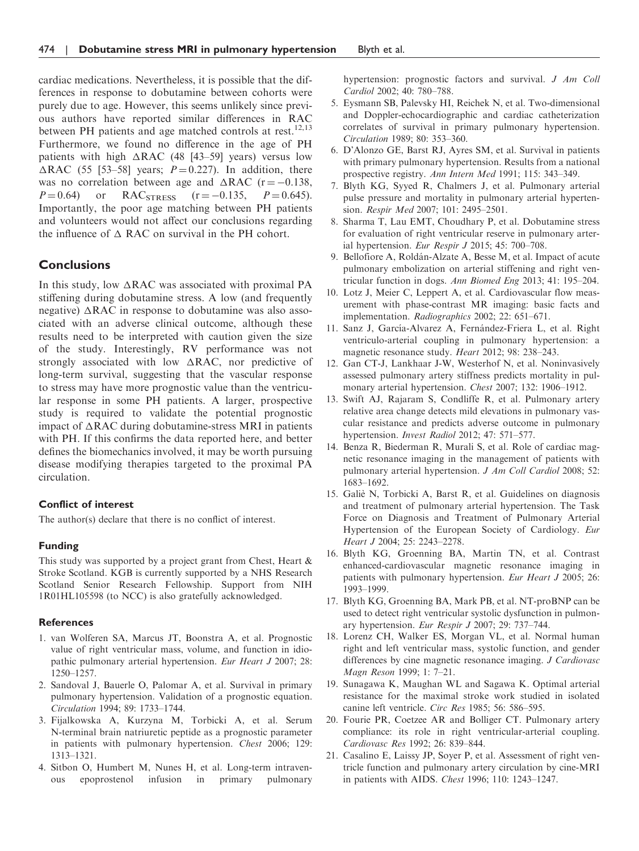cardiac medications. Nevertheless, it is possible that the differences in response to dobutamine between cohorts were purely due to age. However, this seems unlikely since previous authors have reported similar differences in RAC between PH patients and age matched controls at rest.<sup>12,13</sup> Furthermore, we found no difference in the age of PH patients with high  $\triangle RAC$  (48 [43–59] years) versus low  $\triangle RAC$  (55 [53–58] years;  $P = 0.227$ ). In addition, there was no correlation between age and  $\triangle RAC$  (r = -0.138,  $P = 0.64$ ) or RAC<sub>STRESS</sub>  $(r = -0.135,$  $P = 0.645$ . Importantly, the poor age matching between PH patients and volunteers would not affect our conclusions regarding the influence of  $\triangle$  RAC on survival in the PH cohort.

# **Conclusions**

In this study, low  $\triangle RAC$  was associated with proximal PA stiffening during dobutamine stress. A low (and frequently negative)  $\triangle RAC$  in response to dobutamine was also associated with an adverse clinical outcome, although these results need to be interpreted with caution given the size of the study. Interestingly, RV performance was not strongly associated with low  $\Delta RAC$ , nor predictive of long-term survival, suggesting that the vascular response to stress may have more prognostic value than the ventricular response in some PH patients. A larger, prospective study is required to validate the potential prognostic impact of  $\triangle$ RAC during dobutamine-stress MRI in patients with PH. If this confirms the data reported here, and better defines the biomechanics involved, it may be worth pursuing disease modifying therapies targeted to the proximal PA circulation.

### Conflict of interest

The author(s) declare that there is no conflict of interest.

### Funding

This study was supported by a project grant from Chest, Heart  $\&$ Stroke Scotland. KGB is currently supported by a NHS Research Scotland Senior Research Fellowship. Support from NIH 1R01HL105598 (to NCC) is also gratefully acknowledged.

### **References**

- 1. van Wolferen SA, Marcus JT, Boonstra A, et al. Prognostic value of right ventricular mass, volume, and function in idiopathic pulmonary arterial hypertension. Eur Heart J 2007; 28: 1250–1257.
- 2. Sandoval J, Bauerle O, Palomar A, et al. Survival in primary pulmonary hypertension. Validation of a prognostic equation. Circulation 1994; 89: 1733–1744.
- 3. Fijalkowska A, Kurzyna M, Torbicki A, et al. Serum N-terminal brain natriuretic peptide as a prognostic parameter in patients with pulmonary hypertension. Chest 2006; 129: 1313–1321.
- 4. Sitbon O, Humbert M, Nunes H, et al. Long-term intravenous epoprostenol infusion in primary pulmonary

hypertension: prognostic factors and survival. J Am Coll Cardiol 2002; 40: 780–788.

- 5. Eysmann SB, Palevsky HI, Reichek N, et al. Two-dimensional and Doppler-echocardiographic and cardiac catheterization correlates of survival in primary pulmonary hypertension. Circulation 1989; 80: 353–360.
- 6. D'Alonzo GE, Barst RJ, Ayres SM, et al. Survival in patients with primary pulmonary hypertension. Results from a national prospective registry. Ann Intern Med 1991; 115: 343–349.
- 7. Blyth KG, Syyed R, Chalmers J, et al. Pulmonary arterial pulse pressure and mortality in pulmonary arterial hypertension. Respir Med 2007; 101: 2495-2501.
- 8. Sharma T, Lau EMT, Choudhary P, et al. Dobutamine stress for evaluation of right ventricular reserve in pulmonary arterial hypertension. Eur Respir J 2015; 45: 700–708.
- 9. Bellofiore A, Roldán-Alzate A, Besse M, et al. Impact of acute pulmonary embolization on arterial stiffening and right ventricular function in dogs. Ann Biomed Eng 2013; 41: 195–204.
- 10. Lotz J, Meier C, Leppert A, et al. Cardiovascular flow measurement with phase-contrast MR imaging: basic facts and implementation. Radiographics 2002; 22: 651–671.
- 11. Sanz J, García-Alvarez A, Fernández-Friera L, et al. Right ventriculo-arterial coupling in pulmonary hypertension: a magnetic resonance study. Heart 2012; 98: 238–243.
- 12. Gan CT-J, Lankhaar J-W, Westerhof N, et al. Noninvasively assessed pulmonary artery stiffness predicts mortality in pulmonary arterial hypertension. Chest 2007; 132: 1906–1912.
- 13. Swift AJ, Rajaram S, Condliffe R, et al. Pulmonary artery relative area change detects mild elevations in pulmonary vascular resistance and predicts adverse outcome in pulmonary hypertension. Invest Radiol 2012; 47: 571–577.
- 14. Benza R, Biederman R, Murali S, et al. Role of cardiac magnetic resonance imaging in the management of patients with pulmonary arterial hypertension. J Am Coll Cardiol 2008; 52: 1683–1692.
- 15. Galie` N, Torbicki A, Barst R, et al. Guidelines on diagnosis and treatment of pulmonary arterial hypertension. The Task Force on Diagnosis and Treatment of Pulmonary Arterial Hypertension of the European Society of Cardiology. Eur Heart J 2004; 25: 2243–2278.
- 16. Blyth KG, Groenning BA, Martin TN, et al. Contrast enhanced-cardiovascular magnetic resonance imaging in patients with pulmonary hypertension. Eur Heart J 2005; 26: 1993–1999.
- 17. Blyth KG, Groenning BA, Mark PB, et al. NT-proBNP can be used to detect right ventricular systolic dysfunction in pulmonary hypertension. Eur Respir J 2007; 29: 737–744.
- 18. Lorenz CH, Walker ES, Morgan VL, et al. Normal human right and left ventricular mass, systolic function, and gender differences by cine magnetic resonance imaging. J Cardiovasc Magn Reson 1999; 1: 7–21.
- 19. Sunagawa K, Maughan WL and Sagawa K. Optimal arterial resistance for the maximal stroke work studied in isolated canine left ventricle. Circ Res 1985; 56: 586–595.
- 20. Fourie PR, Coetzee AR and Bolliger CT. Pulmonary artery compliance: its role in right ventricular-arterial coupling. Cardiovasc Res 1992; 26: 839–844.
- 21. Casalino E, Laissy JP, Soyer P, et al. Assessment of right ventricle function and pulmonary artery circulation by cine-MRI in patients with AIDS. Chest 1996; 110: 1243–1247.